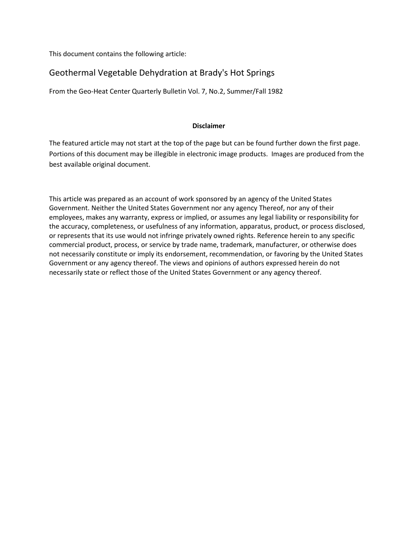This document contains the following article:

## Geothermal Vegetable Dehydration at Brady's Hot Springs

From the Geo-Heat Center Quarterly Bulletin Vol. 7, No.2, Summer/Fall 1982

## **Disclaimer**

The featured article may not start at the top of the page but can be found further down the first page. Portions of this document may be illegible in electronic image products. Images are produced from the best available original document.

This article was prepared as an account of work sponsored by an agency of the United States Government. Neither the United States Government nor any agency Thereof, nor any of their employees, makes any warranty, express or implied, or assumes any legal liability or responsibility for the accuracy, completeness, or usefulness of any information, apparatus, product, or process disclosed, or represents that its use would not infringe privately owned rights. Reference herein to any specific commercial product, process, or service by trade name, trademark, manufacturer, or otherwise does not necessarily constitute or imply its endorsement, recommendation, or favoring by the United States Government or any agency thereof. The views and opinions of authors expressed herein do not necessarily state or reflect those of the United States Government or any agency thereof.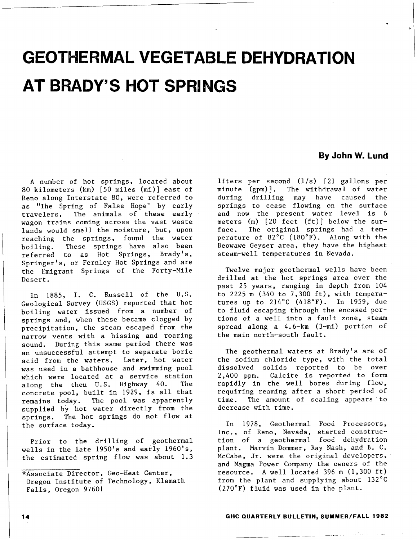# **GEOTHERMAL VEGETABLE DEHYDRATION AT BRADY'S HOT SPRINGS**

### A number of hot springs, located about 80 kilometers (km) [50 miles (mi)] east of Reno along Interstate 80, were referred to as "The Spring of False Hope" by early travelers. The animals of these early wagon trains coming across the vast waste lands would smell the moisture, but, upon reaching the springs, found the water boiling. These springs have also been referred to as Hot Springs, Brady's, Springer's, or Fernley Hot Springs and are the Emigrant Springs of the Forty-Mile Desert.

In 1885, I. C. Russell of the U.S. Geological Survey (USGS) reported that hot boiling water issued from a number of springs and, when these became clogged by precipitation, the steam escaped from the narrow vents with a hissing and roaring sound. During this same period there was an unsuccessful attempt to separate boric acid from the waters. Later, hot water was used in a bathhouse and swimming pool which were located at a service station along the then U.S. Highway 40. concrete pool, built in 1929, is all that remains today. The pool was apparently supplied by hot water directly from the springs. The hot springs do not flow at the surface today.

Prior to the drilling of geothermal wells in the late 1950's and early 1960's, the estimated spring flow was about 1.3

## **By John W. Lund**

liters per second (1/s) [21 gallons per minute (gpm)]. The withdrawal of water during drilling may have caused the springs to cease flowing on the surface and now the present water level is 6 meters (m) [20 feet (ft)] below the surface. The original springs had a temperature of 82°C (180°F). Along with the Beowawe Geyser area, they have the highest steam-well temperatures in Nevada.

Twelve major geothermal wells have been drilled at the hot springs area over the past 25 years, ranging in depth from 104 to 2225 m (340 to 7,300 ft), with temperatures up to 214°C (418°F). In 1959, due to fluid escaping through the encased portions of a well into a fault zone, steam spread along a 4.6-km (3-mi) portion of the main north-south fault.

The geothermal waters at Brady's are of the sodium chloride type, with the total dissolved solids reported to be over 2,400 ppm. Calcite is reported to form rapidly in the well bores during flow, requiring reaming after a short period of time. The amount of scaling appears to decrease with time.

In 1978, Geothermal Food Processors, Inc., of Reno, Nevada, started construction of a geothermal food dehydration plant. Marvin Dommer, Ray Nash, and B. C. McCabe, Jr. were the original developers, and Magma Power Company the owners of the resource. A well located 396 m (1,300 ft) from the plant and supplying about 132°C (270°F) fluid was used in the plant.

#### **14 GHC QUARTERLY BULLETIN, SUMMER/FALL 1982**

<sup>\*</sup>Associate Director, Geo-Heat Center, Oregon Institute of Technology, Klamath Falls, Oregon 97601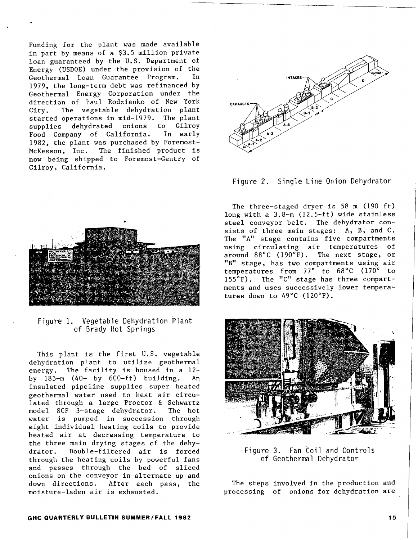Funding for the plant was made available in part by means of a \$3.5 million private loan guaranteed by the U.S. Department of Energy (USDOE) under the provision of the Geothermal Loan Guarantee Program. In 1979, the long-term debt was refinanced by Geothermal Energy Corporation under the direction of Paul Rodzianko of New York City. The vegetable dehydration plant started operations in mid-1979. The plant supplies dehydrated onions to Gilroy<br>Food Company of California. In early Food Company of California. 1982, the plant was purchased by Foremost-McKesson, Inc. The finished product is now being shipped to Foremost-Gentry of Gilroy, California.



Figure 1. Vegetable Dehydration Plant of Brady Hot Springs

This plant is the first U.S. vegetable dehydration plant to utilize geothermal energy. The facility is housed in a 12 by 183-m (40- by 600-ft) building. An insulated pipeline supplies super heated geothermal water used to heat air circulated through a large Proctor & Schwartz model SCF 3-stage dehydrator. The hot water is pumped in succession through eight individual heating coils to provide heated air at decreasing temperature to the three main drying stages of the dehydrator. Double-filtered air is forced through the heating coils by powerful fans and passes through the bed of sliced onions on the conveyor in alternate up and down directions. After each pass, the moisture-laden air is exhausted.





The three-staged dryer is  $58 \text{ m}$  (190 ft) long with a 3.8-m (12.5-ft) wide stainless steel conveyor belt. The dehydrator consists of three main stages: A, B, and C. The "A" stage contains five compartments using circulating air temperatures of around 88°C (190°F). The next stage, or "B" stage, has two compartments using air temperatures from 77 $^{\circ}$  to 68 $^{\circ}$ C (170 $^{\circ}$  to 155°F). The "C" stage has three compartments and uses successively lower temperatures down to 49°C (120°F).



Figure 3. Fan Coil and Controls of Geothermal Dehydrator

The steps involved in the production and processing of onions for dehydration are